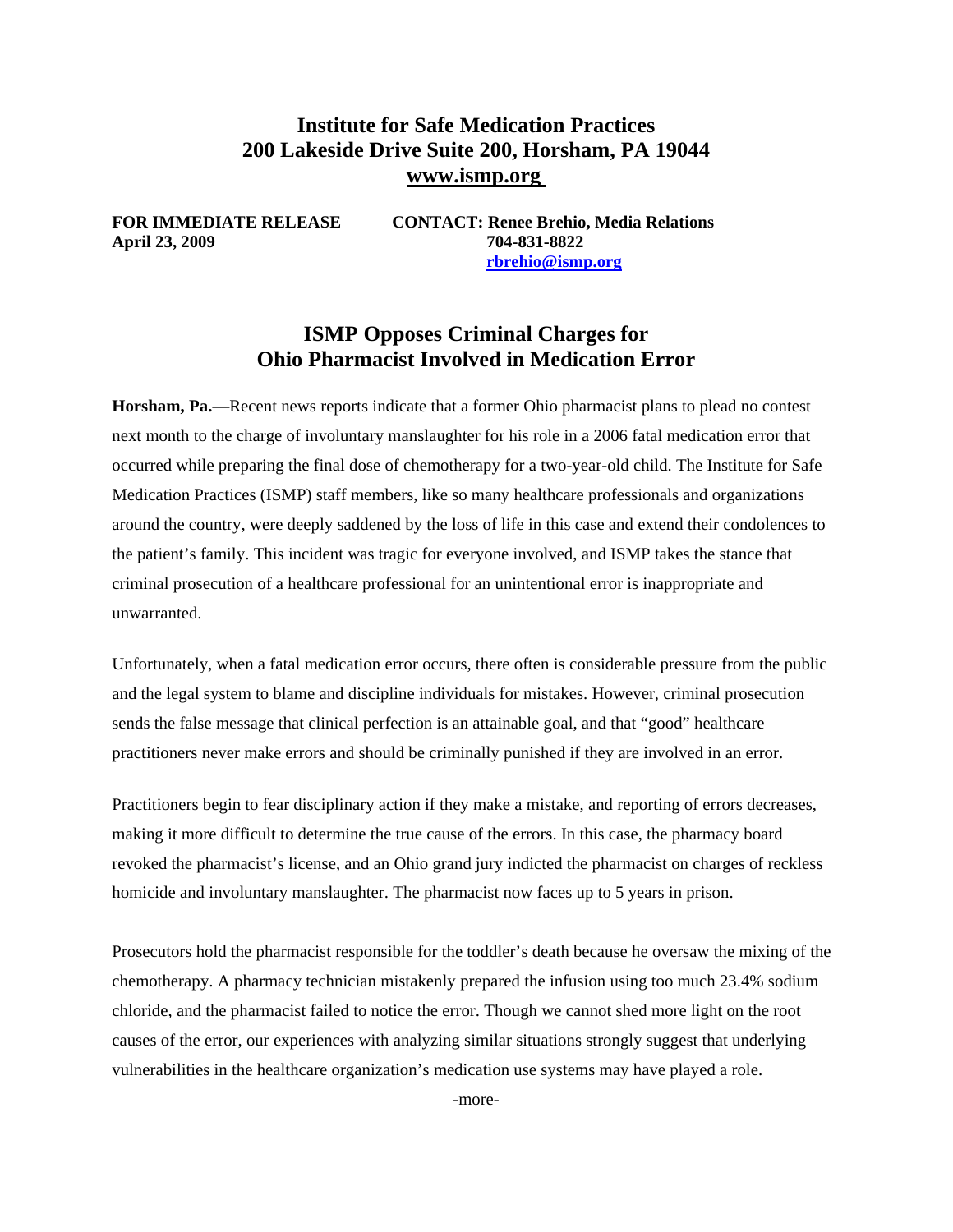## **Institute for Safe Medication Practices 200 Lakeside Drive Suite 200, Horsham, PA 19044 www.ismp.org**

**April 23, 2009 704-831-8822** 

**FOR IMMEDIATE RELEASE CONTACT: Renee Brehio, Media Relations [rbrehio@ismp.org](mailto:rbrehio@ismp.org)** 

### **ISMP Opposes Criminal Charges for Ohio Pharmacist Involved in Medication Error**

**Horsham, Pa.**—Recent news reports indicate that a former Ohio pharmacist plans to plead no contest next month to the charge of involuntary manslaughter for his role in a 2006 fatal medication error that occurred while preparing the final dose of chemotherapy for a two-year-old child. The Institute for Safe Medication Practices (ISMP) staff members, like so many healthcare professionals and organizations around the country, were deeply saddened by the loss of life in this case and extend their condolences to the patient's family. This incident was tragic for everyone involved, and ISMP takes the stance that criminal prosecution of a healthcare professional for an unintentional error is inappropriate and unwarranted.

Unfortunately, when a fatal medication error occurs, there often is considerable pressure from the public and the legal system to blame and discipline individuals for mistakes. However, criminal prosecution sends the false message that clinical perfection is an attainable goal, and that "good" healthcare practitioners never make errors and should be criminally punished if they are involved in an error.

Practitioners begin to fear disciplinary action if they make a mistake, and reporting of errors decreases, making it more difficult to determine the true cause of the errors. In this case, the pharmacy board revoked the pharmacist's license, and an Ohio grand jury indicted the pharmacist on charges of reckless homicide and involuntary manslaughter. The pharmacist now faces up to 5 years in prison.

Prosecutors hold the pharmacist responsible for the toddler's death because he oversaw the mixing of the chemotherapy. A pharmacy technician mistakenly prepared the infusion using too much 23.4% sodium chloride, and the pharmacist failed to notice the error. Though we cannot shed more light on the root causes of the error, our experiences with analyzing similar situations strongly suggest that underlying vulnerabilities in the healthcare organization's medication use systems may have played a role.

-more-